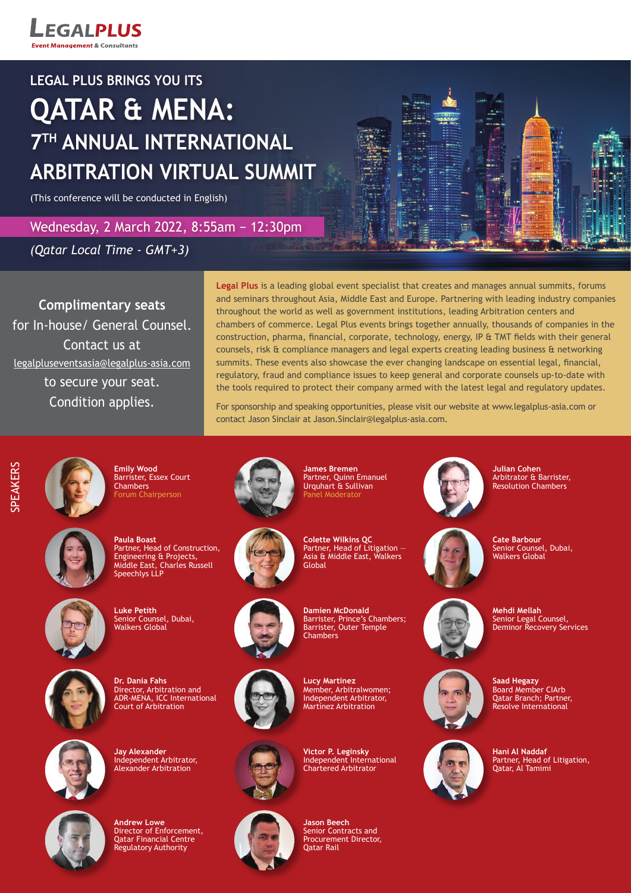**LEGALPLUS Fvent Management & Consultants** 

## **LEGAL PLUS BRINGS YOU ITS**

# **QATAR & MENA: 7TH ANNUAL INTERNATIONAL ARBITRATION VIRTUAL SUMMIT**

(This conference will be conducted in English)

Wednesday, 2 March 2022, 8:55am − 12:30pm

*(Qatar Local Time - GMT+3)*

**Complimentary seats** for In-house/ General Counsel. Contact us at legalpluseventsasia@legalplus-asia.com to secure your seat. Condition applies.

**Legal Plus** is a leading global event specialist that creates and manages annual summits, forums and seminars throughout Asia, Middle East and Europe. Partnering with leading industry companies throughout the world as well as government institutions, leading Arbitration centers and chambers of commerce. Legal Plus events brings together annually, thousands of companies in the construction, pharma, financial, corporate, technology, energy, IP & TMT fields with their general counsels, risk & compliance managers and legal experts creating leading business & networking summits. These events also showcase the ever changing landscape on essential legal, financial, regulatory, fraud and compliance issues to keep general and corporate counsels up-to-date with the tools required to protect their company armed with the latest legal and regulatory updates.

For sponsorship and speaking opportunities, please visit our website at www.legalplus-asia.com or contact Jason Sinclair at Jason.Sinclair@legalplus-asia.com.



**Emily Wood** Barrister, Essex Court Chambers Forum Chairperson



**Paula Boast** Partner, Head of Construction, Engineering & Projects, Middle East, Charles Russell Speechlys LLP



**Luke Petith** Senior Counsel, Dubai, Walkers Global



**Dr. Dania Fahs** Director, Arbitration and ADR-MENA, ICC International Court of Arbitration



**Jay Alexander** Independent Arbitrator, Alexander Arbitration



**Andrew Lowe** Director of Enforcement, Qatar Financial Centre Regulatory Authority



**James Bremen** Partner, Quinn Emanuel Urquhart & Sullivan Panel Moderato



**Colette Wilkins QC** Partner, Head of Litigation — Asia & Middle East, Walkers **Global** 



**Damien McDonald** Barrister, Prince's Chambers; Barrister, Outer Temple **Chambers** 



**Lucy Martinez** Member, Arbitralwomen; Independent Arbitrator, Martínez Arbitration





Senior Contracts and Procurement Director,



**Julian Cohen** Arbitrator & Barrister, Resolution Chambers

**Cate Barbour** Senior Counsel, Dubai, Walkers Global



**Mehdi Mellah** Senior Legal Counsel, **Deminor Recovery Services** 



**Saad Hegazy** Board Member CIArb Qatar Branch; Partner, Resolve International



**Hani Al Naddaf** Partner, Head of Litigation, Qatar, Al Tamimi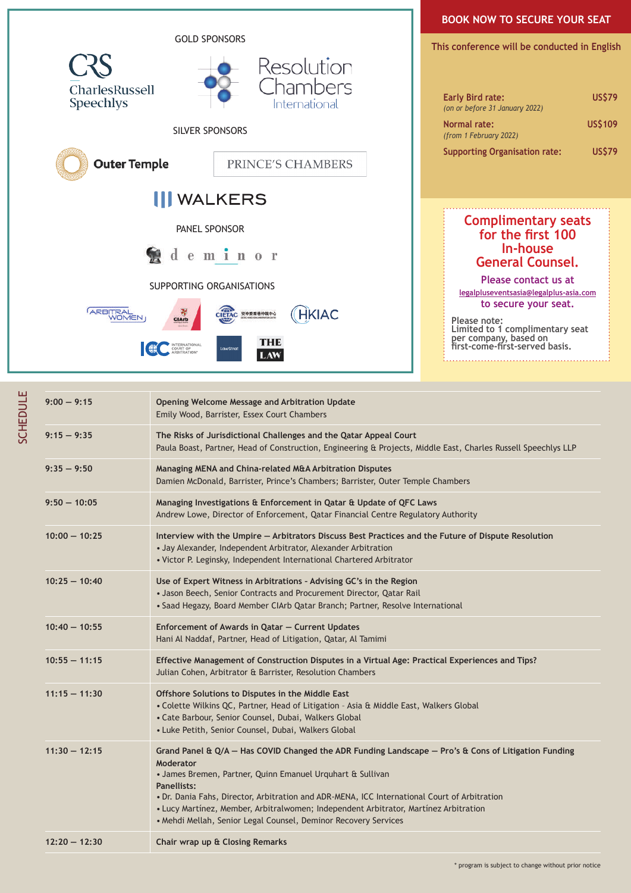

| $9:00 - 9:15$   | Opening Welcome Message and Arbitration Update<br>Emily Wood, Barrister, Essex Court Chambers                                                                                                                                                                                                                                                                                                                                                                      |
|-----------------|--------------------------------------------------------------------------------------------------------------------------------------------------------------------------------------------------------------------------------------------------------------------------------------------------------------------------------------------------------------------------------------------------------------------------------------------------------------------|
| $9:15 - 9:35$   | The Risks of Jurisdictional Challenges and the Qatar Appeal Court<br>Paula Boast, Partner, Head of Construction, Engineering & Projects, Middle East, Charles Russell Speechlys LLP                                                                                                                                                                                                                                                                                |
| $9:35 - 9:50$   | Managing MENA and China-related M&A Arbitration Disputes<br>Damien McDonald, Barrister, Prince's Chambers; Barrister, Outer Temple Chambers                                                                                                                                                                                                                                                                                                                        |
| $9:50 - 10:05$  | Managing Investigations & Enforcement in Qatar & Update of QFC Laws<br>Andrew Lowe, Director of Enforcement, Qatar Financial Centre Regulatory Authority                                                                                                                                                                                                                                                                                                           |
| $10:00 - 10:25$ | Interview with the Umpire - Arbitrators Discuss Best Practices and the Future of Dispute Resolution<br>• Jay Alexander, Independent Arbitrator, Alexander Arbitration<br>• Victor P. Leginsky, Independent International Chartered Arbitrator                                                                                                                                                                                                                      |
| $10:25 - 10:40$ | Use of Expert Witness in Arbitrations - Advising GC's in the Region<br>• Jason Beech, Senior Contracts and Procurement Director, Qatar Rail<br>• Saad Hegazy, Board Member ClArb Qatar Branch; Partner, Resolve International                                                                                                                                                                                                                                      |
| $10:40 - 10:55$ | Enforcement of Awards in Qatar - Current Updates<br>Hani Al Naddaf, Partner, Head of Litigation, Qatar, Al Tamimi                                                                                                                                                                                                                                                                                                                                                  |
| $10:55 - 11:15$ | Effective Management of Construction Disputes in a Virtual Age: Practical Experiences and Tips?<br>Julian Cohen, Arbitrator & Barrister, Resolution Chambers                                                                                                                                                                                                                                                                                                       |
| $11:15 - 11:30$ | Offshore Solutions to Disputes in the Middle East<br>• Colette Wilkins QC, Partner, Head of Litigation - Asia & Middle East, Walkers Global<br>• Cate Barbour, Senior Counsel, Dubai, Walkers Global<br>• Luke Petith, Senior Counsel, Dubai, Walkers Global                                                                                                                                                                                                       |
| $11:30 - 12:15$ | Grand Panel & $Q/A$ – Has COVID Changed the ADR Funding Landscape – Pro's & Cons of Litigation Funding<br><b>Moderator</b><br>• James Bremen, Partner, Quinn Emanuel Urquhart & Sullivan<br>Panellists:<br>. Dr. Dania Fahs, Director, Arbitration and ADR-MENA, ICC International Court of Arbitration<br>· Lucy Martínez, Member, Arbitralwomen; Independent Arbitrator, Martínez Arbitration<br>• Mehdi Mellah, Senior Legal Counsel, Deminor Recovery Services |
| $12:20 - 12:30$ | Chair wrap up & Closing Remarks                                                                                                                                                                                                                                                                                                                                                                                                                                    |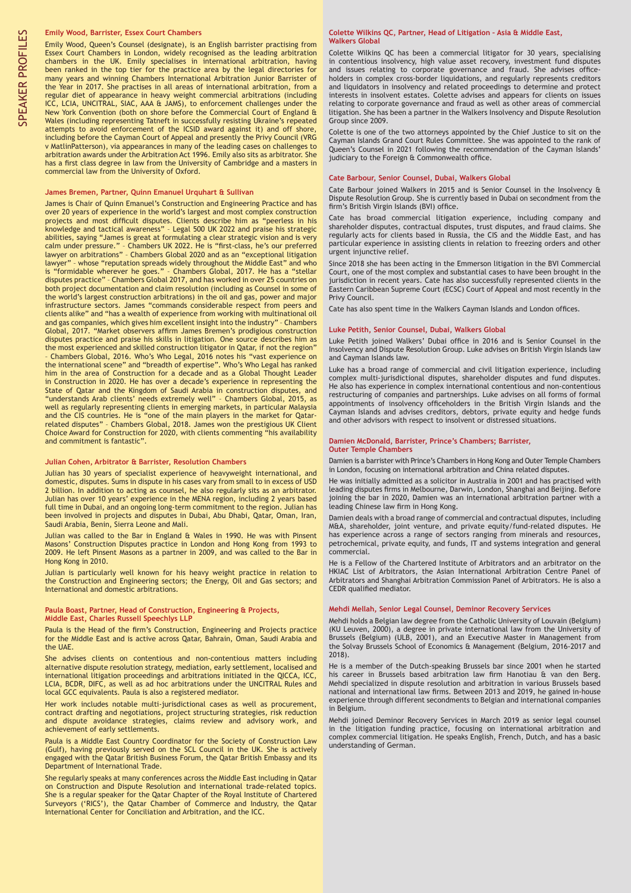#### **Emily Wood, Barrister, Essex Court Chambers**

Emily Wood, Queen's Counsel (designate), is an English barrister practising from Essex Court Chambers in London, widely recognised as the leading arbitration chambers in the UK. Emily specialises in international arbitration, having been ranked in the top tier for the practice area by the legal directories for many years and winning Chambers International Arbitration Junior Barrister of the Year in 2017. She practises in all areas of international arbitration, from a regular diet of appearance in heavy weight commercial arbitrations (including ICC, LCIA, UNCITRAL, SIAC, AAA & JAMS), to enforcement challenges under the New York Convention (both on shore before the Commercial Court of England & Wales (including representing Tatneft in successfully resisting Ukraine's repeated attempts to avoid enforcement of the ICSID award against it) and off shore, including before the Cayman Court of Appeal and presently the Privy Council (VRG v MatlinPatterson), via appearances in many of the leading cases on challenges to arbitration awards under the Arbitration Act 1996. Emily also sits as arbitrator. She has a first class degree in law from the University of Cambridge and a masters in commercial law from the University of Oxford.

#### **James Bremen, Partner, Quinn Emanuel Urquhart & Sullivan**

James is Chair of Quinn Emanuel's Construction and Engineering Practice and has over 20 years of experience in the world's largest and most complex construction projects and most difficult disputes. Clients describe him as "peerless in his knowledge and tactical awareness" – Legal 500 UK 2022 and praise his strategic abilities, saying "James is great at formulating a clear strategic vision and is very calm under pressure." – Chambers UK 2022. He is "first-class, he's our preferred lawyer on arbitrations" – Chambers Global 2020 and as an "exceptional litigation lawyer" – whose "reputation spreads widely throughout the Middle East" and who is "formidable wherever he goes." – Chambers Global, 2017. He has a "stellar disputes practice" – Chambers Global 2017, and has worked in over 25 countries on both project documentation and claim resolution (including as Counsel in some of the world's largest construction arbitrations) in the oil and gas, power and major infrastructure sectors. James "commands considerable respect from peers and clients alike" and "has a wealth of experience from working with multinational oil and gas companies, which gives him excellent insight into the industry" – Chambers Global, 2017. "Market observers affirm James Bremen's prodigious construction disputes practice and praise his skills in litigation. One source describes him as the most experienced and skilled construction litigator in Qatar, if not the region" – Chambers Global, 2016. Who's Who Legal, 2016 notes his "vast experience on the international scene" and "breadth of expertise". Who's Who Legal has ranked him in the area of Construction for a decade and as a Global Thought Leader in Construction in 2020. He has over a decade's experience in representing the State of Qatar and the Kingdom of Saudi Arabia in construction disputes, and "understands Arab clients' needs extremely well" – Chambers Global, 2015, as well as regularly representing clients in emerging markets, in particular Malaysia and the CIS countries. He is "one of the main players in the market for Qatarrelated disputes" – Chambers Global, 2018. James won the prestigious UK Client Choice Award for Construction for 2020, with clients commenting "his availability and commitment is fantastic".

#### **Julian Cohen, Arbitrator & Barrister, Resolution Chambers**

Julian has 30 years of specialist experience of heavyweight international, and domestic, disputes. Sums in dispute in his cases vary from small to in excess of USD 2 billion. In addition to acting as counsel, he also regularly sits as an arbitrator. Julian has over 10 years' experience in the MENA region, including 2 years based full time in Dubai, and an ongoing long-term commitment to the region. Julian has been involved in projects and disputes in Dubai, Abu Dhabi, Qatar, Oman, Iran, Saudi Arabia, Benin, Sierra Leone and Mali.

Julian was called to the Bar in England & Wales in 1990. He was with Pinsent Masons' Construction Disputes practice in London and Hong Kong from 1993 to 2009. He left Pinsent Masons as a partner in 2009, and was called to the Bar in Hong Kong in 2010.

Julian is particularly well known for his heavy weight practice in relation to the Construction and Engineering sectors; the Energy, Oil and Gas sectors; and International and domestic arbitrations.

#### **Paula Boast, Partner, Head of Construction, Engineering & Projects, Middle East, Charles Russell Speechlys LLP**

Paula is the Head of the firm's Construction, Engineering and Projects practice for the Middle East and is active across Qatar, Bahrain, Oman, Saudi Arabia and the UAE.

She advises clients on contentious and non-contentious matters including alternative dispute resolution strategy, mediation, early settlement, localised and international litigation proceedings and arbitrations initiated in the QICCA, ICC, LCIA, BCDR, DIFC, as well as ad hoc arbitrations under the UNCITRAL Rules and local GCC equivalents. Paula is also a registered mediator.

Her work includes notable multi-jurisdictional cases as well as procurement, contract drafting and negotiations, project structuring strategies, risk reduction and dispute avoidance strategies, claims review and advisory work, and achievement of early settlements.

Paula is a Middle East Country Coordinator for the Society of Construction Law (Gulf), having previously served on the SCL Council in the UK. She is actively engaged with the Qatar British Business Forum, the Qatar British Embassy and its Department of International Trade.

She regularly speaks at many conferences across the Middle East including in Qatar on Construction and Dispute Resolution and international trade-related topics. She is a regular speaker for the Qatar Chapter of the Royal Institute of Chartered Surveyors ('RICS'), the Qatar Chamber of Commerce and Industry, the Qatar International Center for Conciliation and Arbitration, and the ICC.

#### **Colette Wilkins QC, Partner, Head of Litigation – Asia & Middle East, Walkers Global**

Colette Wilkins QC has been a commercial litigator for 30 years, specialising in contentious insolvency, high value asset recovery, investment fund disputes and issues relating to corporate governance and fraud. She advises officeholders in complex cross-border liquidations, and regularly represents creditors and liquidators in insolvency and related proceedings to determine and protect interests in insolvent estates. Colette advises and appears for clients on issues relating to corporate governance and fraud as well as other areas of commercial litigation. She has been a partner in the Walkers Insolvency and Dispute Resolution Group since 2009.

Colette is one of the two attorneys appointed by the Chief Justice to sit on the Cayman Islands Grand Court Rules Committee. She was appointed to the rank of Queen's Counsel in 2021 following the recommendation of the Cayman Islands' judiciary to the Foreign & Commonwealth office.

#### **Cate Barbour, Senior Counsel, Dubai, Walkers Global**

Cate Barbour joined Walkers in 2015 and is Senior Counsel in the Insolvency & Dispute Resolution Group. She is currently based in Dubai on secondment from the firm's British Virgin Islands (BVI) office.

Cate has broad commercial litigation experience, including company and shareholder disputes, contractual disputes, trust disputes, and fraud claims. She regularly acts for clients based in Russia, the CIS and the Middle East, and has particular experience in assisting clients in relation to freezing orders and other urgent injunctive relief.

Since 2018 she has been acting in the Emmerson litigation in the BVI Commercial Court, one of the most complex and substantial cases to have been brought in the jurisdiction in recent years. Cate has also successfully represented clients in the Eastern Caribbean Supreme Court (ECSC) Court of Appeal and most recently in the Privy Council.

Cate has also spent time in the Walkers Cayman Islands and London offices.

#### **Luke Petith, Senior Counsel, Dubai, Walkers Global**

Luke Petith joined Walkers' Dubai office in 2016 and is Senior Counsel in the Insolvency and Dispute Resolution Group. Luke advises on British Virgin Islands law and Cayman Islands law.

Luke has a broad range of commercial and civil litigation experience, including complex multi-jurisdictional disputes, shareholder disputes and fund disputes. He also has experience in complex international contentious and non-contentious restructuring of companies and partnerships. Luke advises on all forms of formal appointments of insolvency officeholders in the British Virgin Islands and the Cayman Islands and advises creditors, debtors, private equity and hedge funds and other advisors with respect to insolvent or distressed situations.

#### **Damien McDonald, Barrister, Prince's Chambers; Barrister, Outer Temple Chambers**

Damien is a barrister with Prince's Chambers in Hong Kong and Outer Temple Chambers in London, focusing on international arbitration and China related disputes.

He was initially admitted as a solicitor in Australia in 2001 and has practised with leading disputes firms in Melbourne, Darwin, London, Shanghai and Beijing. Before joining the bar in 2020, Damien was an international arbitration partner with a leading Chinese law firm in Hong Kong.

Damien deals with a broad range of commercial and contractual disputes, including M&A, shareholder, joint venture, and private equity/fund-related disputes. He has experience across a range of sectors ranging from minerals and resources, petrochemical, private equity, and funds, IT and systems integration and general commercial.

He is a Fellow of the Chartered Institute of Arbitrators and an arbitrator on the HKIAC List of Arbitrators, the Asian International Arbitration Centre Panel of Arbitrators and Shanghai Arbitration Commission Panel of Arbitrators. He is also a CEDR qualified mediator.

#### **Mehdi Mellah, Senior Legal Counsel, Deminor Recovery Services**

Mehdi holds a Belgian law degree from the Catholic University of Louvain (Belgium) (KU Leuven, 2000), a degree in private international law from the University of Brussels (Belgium) (ULB, 2001), and an Executive Master in Management from the Solvay Brussels School of Economics & Management (Belgium, 2016-2017 and 2018).

He is a member of the Dutch-speaking Brussels bar since 2001 when he started his career in Brussels based arbitration law firm Hanotiau & van den Berg. Mehdi specialized in dispute resolution and arbitration in various Brussels based national and international law firms. Between 2013 and 2019, he gained in-house experience through different secondments to Belgian and international companies in Belgium.

Mehdi joined Deminor Recovery Services in March 2019 as senior legal counsel in the litigation funding practice, focusing on international arbitration and complex commercial litigation. He speaks English, French, Dutch, and has a basic understanding of German.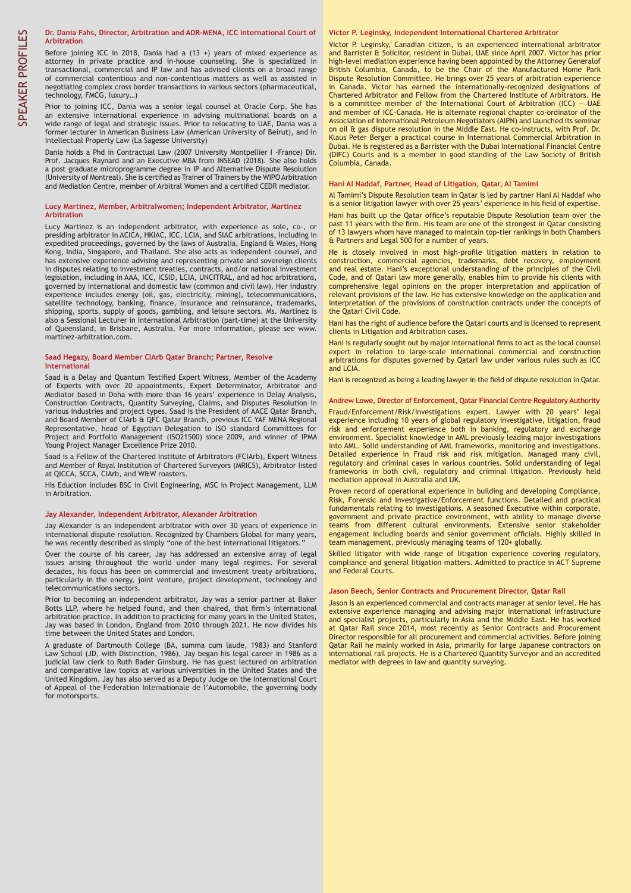#### **Dr. Dania Fahs, Director, Arbitration and ADR-MENA, ICC International Court of Arbitration**

Before joining ICC in 2018, Dania had a (13 +) years of mixed experience as attorney in private practice and in-house counseling. She is specialized in transactional, commercial and IP law and has advised clients on a broad range of commercial contentious and non-contentious matters as well as assisted in negotiating complex cross border transactions in various sectors (pharmaceutical, technology, FMCG, luxury…)

Prior to joining ICC, Dania was a senior legal counsel at Oracle Corp. She has an extensive international experience in advising multinational boards on a wide range of legal and strategic issues. Prior to relocating to UAE, Dania was a former lecturer in American Business Law (American University of Beirut), and in Intellectual Property Law (La Sagesse University)

Dania holds a Phd in Contractual Law (2007 University Montpellier I -France) Dir. Prof. Jacques Raynard and an Executive MBA from INSEAD (2018). She also holds a post graduate microprogramme degree in IP and Alternative Dispute Resolution (University of Montreal). She is certified as Trainer of Trainers by the WIPO Arbitration and Mediation Centre, member of Arbitral Women and a certified CEDR mediator.

#### **Lucy Martinez, Member, Arbitralwomen; Independent Arbitrator, Martínez Arbitration**

Lucy Martinez is an independent arbitrator, with experience as sole, co-, or presiding arbitrator in ACICA, HKIAC, ICC, LCIA, and SIAC arbitrations, including in expedited proceedings, governed by the laws of Australia, England & Wales, Hong Kong, India, Singapore, and Thailand. She also acts as independent counsel, and has extensive experience advising and representing private and sovereign clients in disputes relating to investment treaties, contracts, and/or national investment legislation, including in AAA, ICC, ICSID, LCIA, UNCITRAL, and ad hoc arbitrations, governed by international and domestic law (common and civil law). Her industry experience includes energy (oil, gas, electricity, mining), telecommunications, satellite technology, banking, finance, insurance and reinsurance, trademarks, shipping, sports, supply of goods, gambling, and leisure sectors. Ms. Martinez is also a Sessional Lecturer in International Arbitration (part-time) at the University of Queensland, in Brisbane, Australia. For more information, please see www. martinez-arbitration.com.

#### **Saad Hegazy, Board Member CIArb Qatar Branch; Partner, Resolve International**

Saad is a Delay and Quantum Testified Expert Witness, Member of the Academy of Experts with over 20 appointments, Expert Determinator, Arbitrator and Mediator based in Doha with more than 16 years' experience in Delay Analysis, Construction Contracts, Quantity Surveying, Claims, and Disputes Resolution in various industries and project types. Saad is the President of AACE Qatar Branch, and Board Member of CIArb & QFC Qatar Branch, previous ICC YAF MENA Regional Representative, head of Egyptian Delegation to ISO standard Committees for Project and Portfolio Management (ISO21500) since 2009, and winner of IPMA Young Project Manager Excellence Prize 2010.

Saad is a Fellow of the Chartered Institute of Arbitrators (FCIArb), Expert Witness and Member of Royal Institution of Chartered Surveyors (MRICS), Arbitrator listed at QICCA, SCCA, CIArb, and W&W roasters.

His Eduction includes BSC in Civil Engineering, MSC in Project Management, LLM in Arbitration.

#### **Jay Alexander, Independent Arbitrator, Alexander Arbitration**

Jay Alexander is an independent arbitrator with over 30 years of experience in international dispute resolution. Recognized by Chambers Global for many years, he was recently described as simply "one of the best international litigators.

Over the course of his career, Jay has addressed an extensive array of legal issues arising throughout the world under many legal regimes. For several decades, his focus has been on commercial and investment treaty arbitrations, particularly in the energy, joint venture, project development, technology and telecommunications sectors.

Prior to becoming an independent arbitrator, Jay was a senior partner at Baker Botts LLP, where he helped found, and then chaired, that firm's international arbitration practice. In addition to practicing for many years in the United States, Jay was based in London, England from 2010 through 2021. He now divides his time between the United States and London.

A graduate of Dartmouth College (BA, summa cum laude, 1983) and Stanford Law School (JD, with Distinction, 1986), Jay began his legal career in 1986 as a judicial law clerk to Ruth Bader Ginsburg. He has guest lectured on arbitration and comparative law topics at various universities in the United States and the United Kingdom. Jay has also served as a Deputy Judge on the International Court of Appeal of the Federation Internationale de l'Automobile, the governing body for motorsports.

#### **Victor P. Leginsky, Independent International Chartered Arbitrator**

Victor P. Leginsky, Canadian citizen, is an experienced international arbitrator and Barrister & Solicitor, resident in Dubai, UAE since April 2007. Victor has prior high-level mediation experience having been appointed by the Attorney Generalof British Columbia, Canada, to be the Chair of the Manufactured Home Park Dispute Resolution Committee. He brings over 25 years of arbitration experience in Canada. Victor has earned the internationally-recognized designations of Chartered Arbitrator and Fellow from the Chartered Institute of Arbitrators. He is a committee member of the International Court of Arbitration (ICC)  $-$  UAE and member of ICC-Canada. He is alternate regional chapter co-ordinator of the Association of International Petroleum Negotiators (AIPN) and launched its seminar on oil & gas dispute resolution in the Middle East. He co-instructs, with Prof. Dr. Klaus Peter Berger a practical course in International Commercial Arbitration in Dubai. He is registered as a Barrister with the Dubai International Financial Centre (DIFC) Courts and is a member in good standing of the Law Society of British Columbia, Canada.

#### **Hani Al Naddaf, Partner, Head of Litigation, Qatar, Al Tamimi**

Al Tamimi's Dispute Resolution team in Qatar is led by partner Hani Al Naddaf who is a senior litigation lawyer with over 25 years' experience in his field of expertise. Hani has built up the Qatar office's reputable Dispute Resolution team over the past 11 years with the firm. His team are one of the strongest in Qatar consisting of 13 lawyers whom have managed to maintain top-tier rankings in both Chambers & Partners and Legal 500 for a number of years.

He is closely involved in most high-profile litigation matters in relation to construction, commercial agencies, trademarks, debt recovery, employment and real estate. Hani's exceptional understanding of the principles of the Civil Code, and of Qatari law more generally, enables him to provide his clients with comprehensive legal opinions on the proper interpretation and application of relevant provisions of the law. He has extensive knowledge on the application and interpretation of the provisions of construction contracts under the concepts of the Qatari Civil Code.

Hani has the right of audience before the Qatari courts and is licensed to represent clients in Litigation and Arbitration cases.

Hani is regularly sought out by major international firms to act as the local counsel expert in relation to large-scale international commercial and construction arbitrations for disputes governed by Qatari law under various rules such as ICC and LCIA.

Hani is recognized as being a leading lawyer in the field of dispute resolution in Qatar.

#### **Andrew Lowe, Director of Enforcement, Qatar Financial Centre Regulatory Authority**

Fraud/Enforcement/Risk/Investigations expert. Lawyer with 20 years' legal experience including 10 years of global regulatory investigative, litigation, fraud risk and enforcement experience both in banking, regulatory and exchange environment. Specialist knowledge in AML previously leading major investigations into AML. Solid understanding of AML frameworks, monitoring and investigations. Detailed experience in Fraud risk and risk mitigation. Managed many civil, regulatory and criminal cases in various countries. Solid understanding of legal frameworks in both civil, regulatory and criminal litigation. Previously held mediation approval in Australia and UK.

Proven record of operational experience in building and developing Compliance, Risk, Forensic and Investigative/Enforcement functions. Detailed and practical fundamentals relating to investigations. A seasoned Executive within corporate, government and private practice environment, with ability to manage diverse teams from different cultural environments. Extensive senior stakeholder engagement including boards and senior government officials. Highly skilled in team management, previously managing teams of 120+ globally.

Skilled litigator with wide range of litigation experience covering regulatory, compliance and general litigation matters. Admitted to practice in ACT Supreme and Federal Courts.

#### **Jason Beech, Senior Contracts and Procurement Director, Qatar Rail**

Jason is an experienced commercial and contracts manager at senior level. He has extensive experience managing and advising major international infrastructure and specialist projects, particularly in Asia and the Middle East. He has worked at Qatar Rail since 2014, most recently as Senior Contracts and Procurement Director responsible for all procurement and commercial activities. Before joining Qatar Rail he mainly worked in Asia, primarily for large Japanese contractors on international rail projects. He is a Chartered Quantity Surveyor and an accredited mediator with degrees in law and quantity surveying.